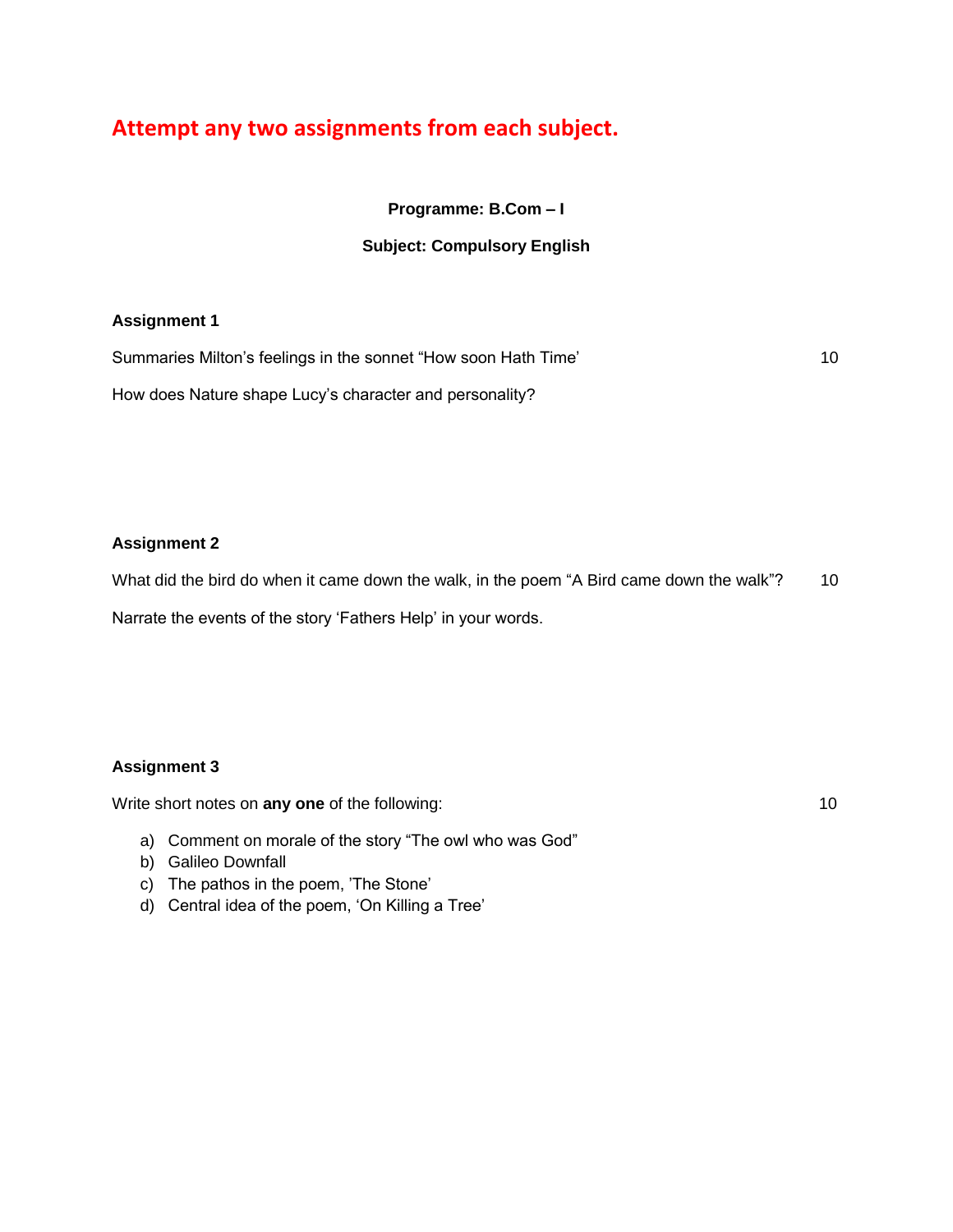# **Attempt any two assignments from each subject.**

**Programme: B.Com – I**

# **Subject: Compulsory English**

# **Assignment 1**

Summaries Milton's feelings in the sonnet "How soon Hath Time" and the matter of the 10

How does Nature shape Lucy"s character and personality?

**Assignment 2**

What did the bird do when it came down the walk, in the poem "A Bird came down the walk"? 10 Narrate the events of the story 'Fathers Help' in your words.

# **Assignment 3**

Write short notes on **any one** of the following: 10

- a) Comment on morale of the story "The owl who was God"
- b) Galileo Downfall
- c) The pathos in the poem, "The Stone"
- d) Central idea of the poem, "On Killing a Tree"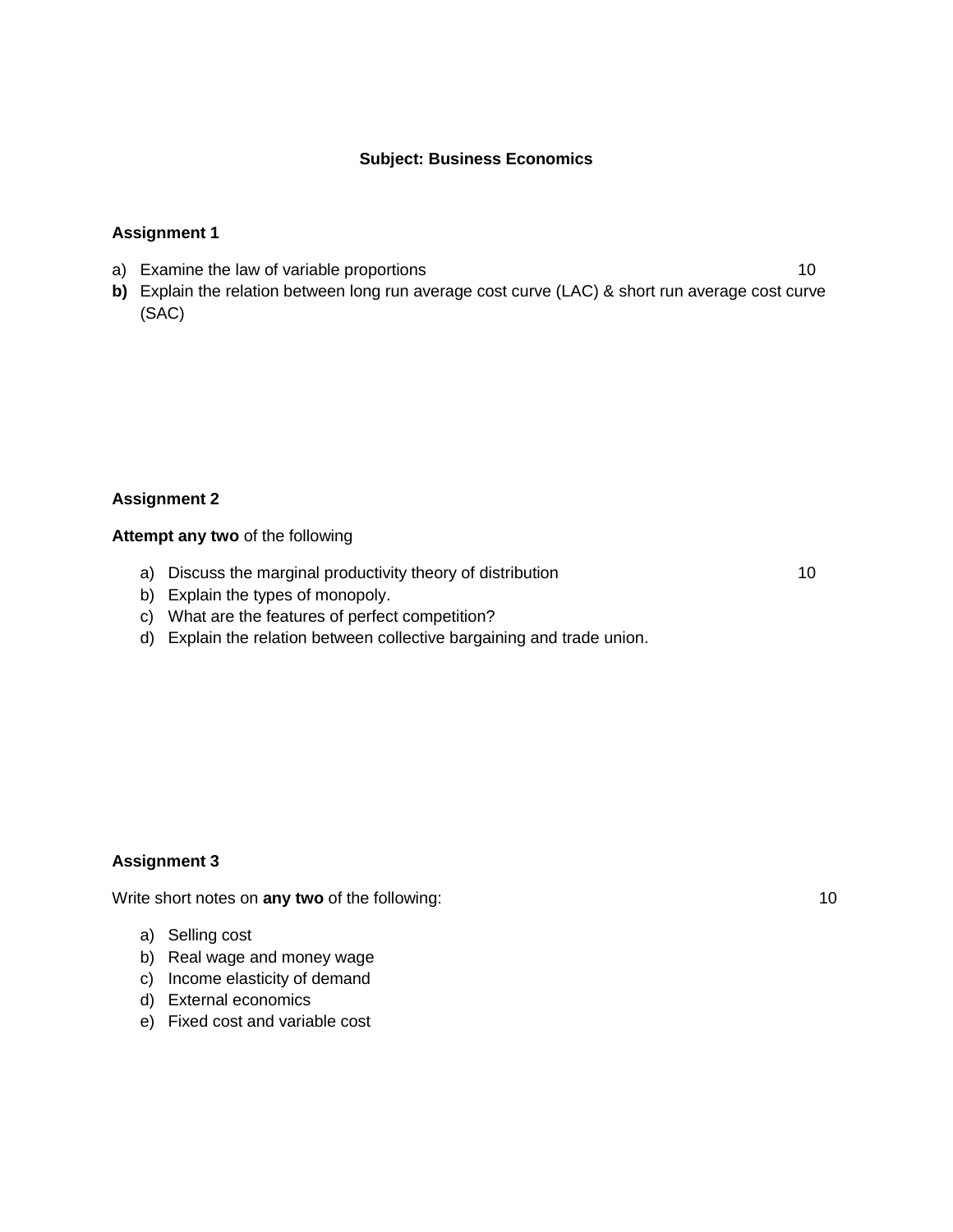#### **Subject: Business Economics**

#### **Assignment 1**

- a) Examine the law of variable proportions 10
- **b)** Explain the relation between long run average cost curve (LAC) & short run average cost curve (SAC)

#### **Assignment 2**

#### **Attempt any two** of the following

a) Discuss the marginal productivity theory of distribution 10

- b) Explain the types of monopoly.
- c) What are the features of perfect competition?
- d) Explain the relation between collective bargaining and trade union.

#### **Assignment 3**

Write short notes on **any two** of the following: 10

- a) Selling cost
- b) Real wage and money wage
- c) Income elasticity of demand
- d) External economics
- e) Fixed cost and variable cost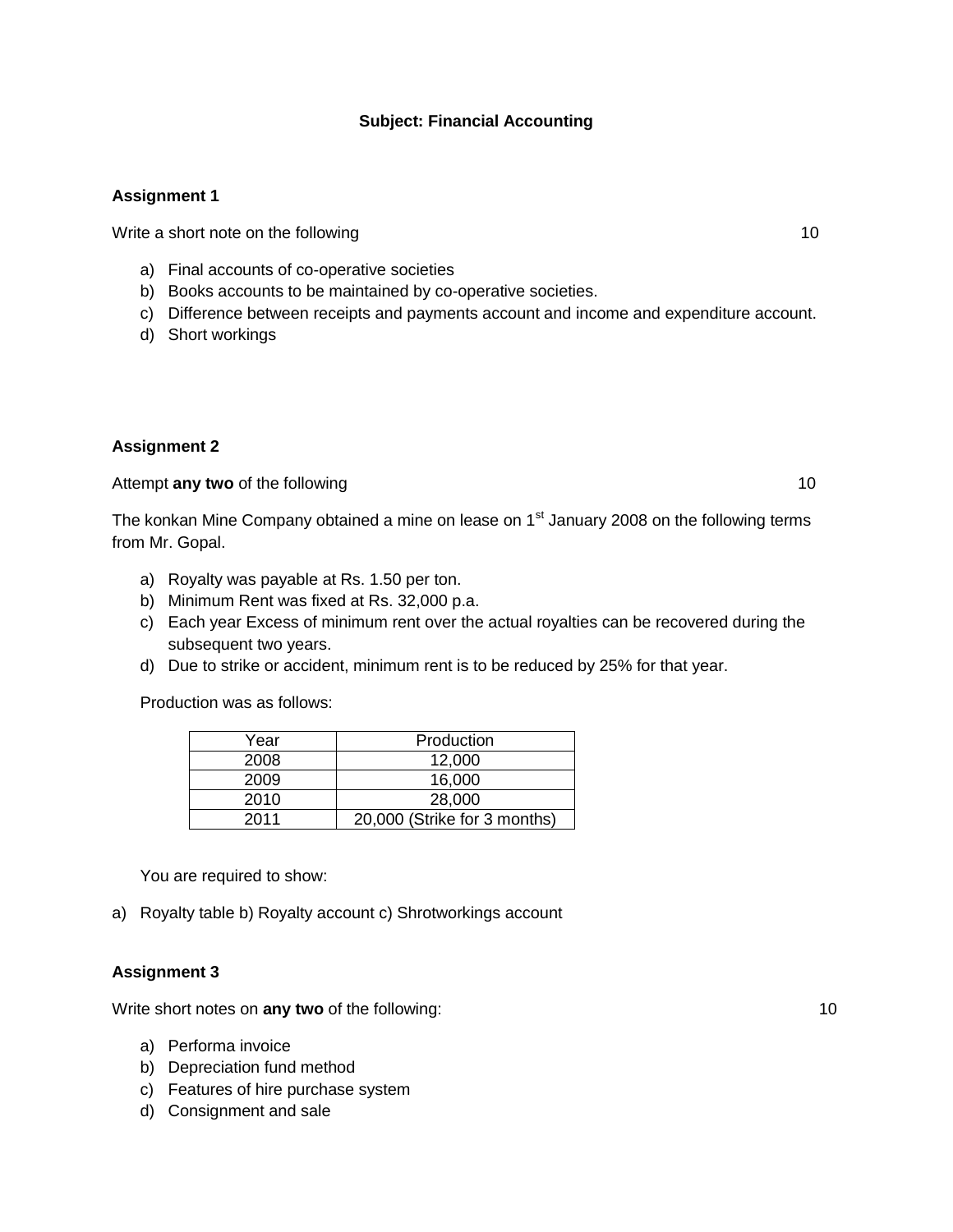#### **Subject: Financial Accounting**

# **Assignment 1**

Write a short note on the following 10

- a) Final accounts of co-operative societies
- b) Books accounts to be maintained by co-operative societies.
- c) Difference between receipts and payments account and income and expenditure account.
- d) Short workings

#### **Assignment 2**

Attempt **any two** of the following 10

The konkan Mine Company obtained a mine on lease on  $1<sup>st</sup>$  January 2008 on the following terms from Mr. Gopal.

- a) Royalty was payable at Rs. 1.50 per ton.
- b) Minimum Rent was fixed at Rs. 32,000 p.a.
- c) Each year Excess of minimum rent over the actual royalties can be recovered during the subsequent two years.
- d) Due to strike or accident, minimum rent is to be reduced by 25% for that year.

Production was as follows:

| Year | Production                   |
|------|------------------------------|
| 2008 | 12,000                       |
| 2009 | 16.000                       |
| 2010 | 28,000                       |
| 2011 | 20,000 (Strike for 3 months) |

You are required to show:

a) Royalty table b) Royalty account c) Shrotworkings account

#### **Assignment 3**

Write short notes on **any two** of the following: 10

- a) Performa invoice
- b) Depreciation fund method
- c) Features of hire purchase system
- d) Consignment and sale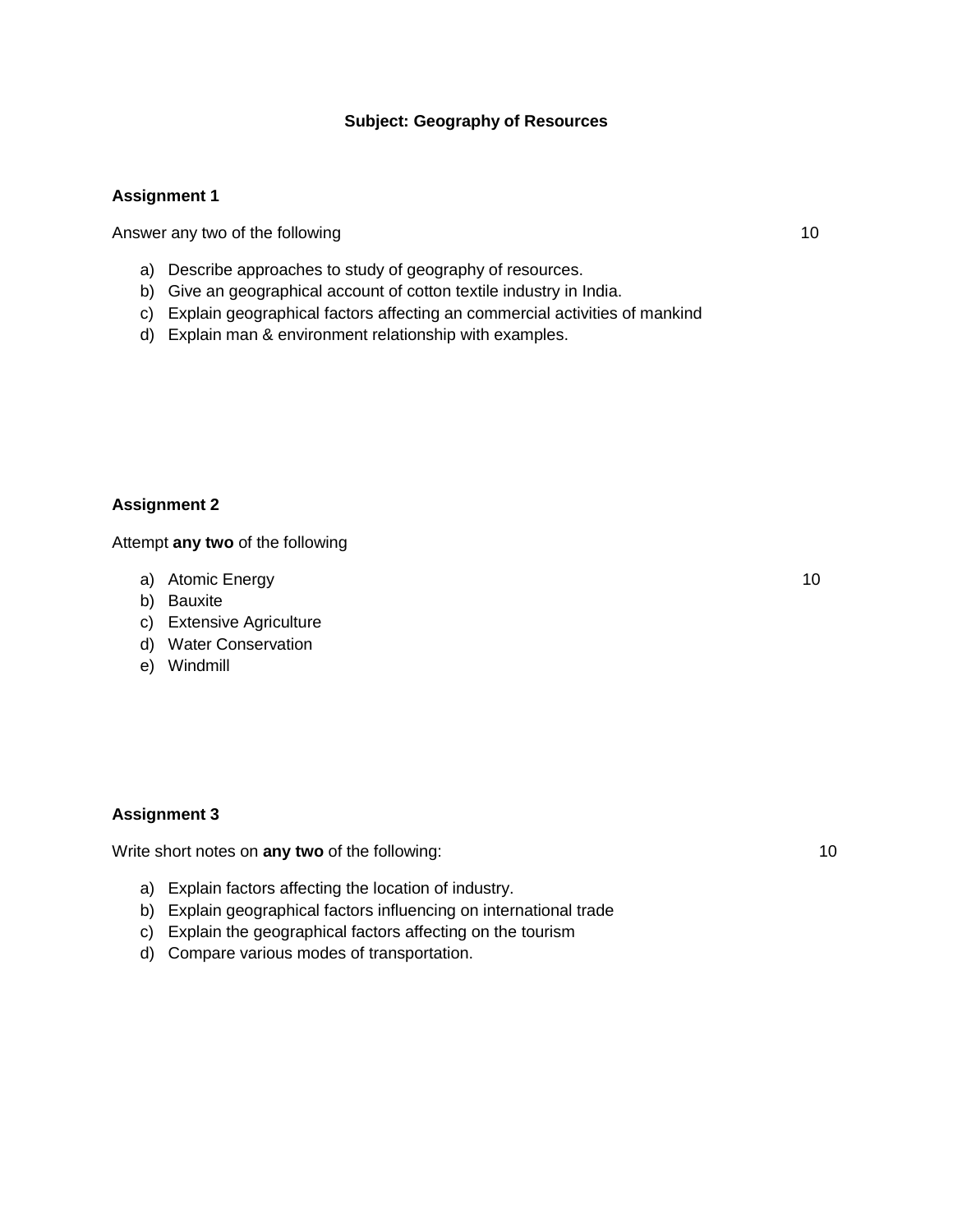#### **Subject: Geography of Resources**

#### **Assignment 1**

Answer any two of the following 10

- a) Describe approaches to study of geography of resources.
- b) Give an geographical account of cotton textile industry in India.
- c) Explain geographical factors affecting an commercial activities of mankind
- d) Explain man & environment relationship with examples.

#### **Assignment 2**

Attempt **any two** of the following

- a) Atomic Energy 10
- b) Bauxite
- c) Extensive Agriculture
- d) Water Conservation
- e) Windmill

#### **Assignment 3**

Write short notes on **any two** of the following: 10

- a) Explain factors affecting the location of industry.
- b) Explain geographical factors influencing on international trade
- c) Explain the geographical factors affecting on the tourism
- d) Compare various modes of transportation.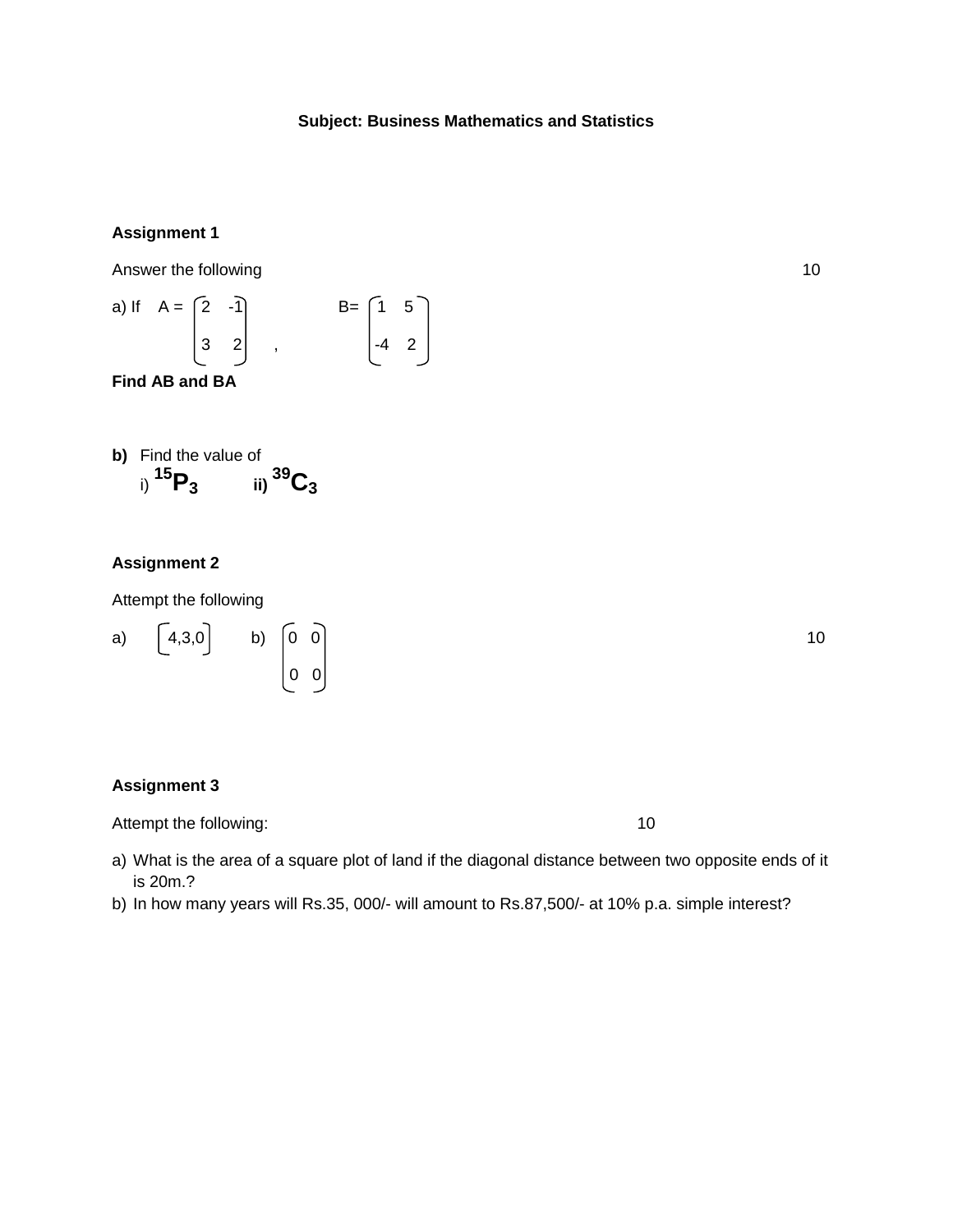# **Subject: Business Mathematics and Statistics**

# **Assignment 1**

Answer the following 10

a) If 
$$
A = \begin{bmatrix} 2 & -1 \\ 3 & 2 \end{bmatrix}
$$
,  $B = \begin{bmatrix} 1 & 5 \\ -4 & 2 \end{bmatrix}$ 

**Find AB and BA**

**b)** Find the value of  
i) 
$$
^{15}P_3
$$
 ii)  $^{39}C_3$ 

# **Assignment 2**

Attempt the following

a) 
$$
\begin{bmatrix} 4,3,0 \end{bmatrix}
$$
 b)  $\begin{bmatrix} 0 & 0 \ 0 & 0 \end{bmatrix}$  10

#### **Assignment 3**

Attempt the following: 10

- a) What is the area of a square plot of land if the diagonal distance between two opposite ends of it is 20m.?
- b) In how many years will Rs.35, 000/- will amount to Rs.87,500/- at 10% p.a. simple interest?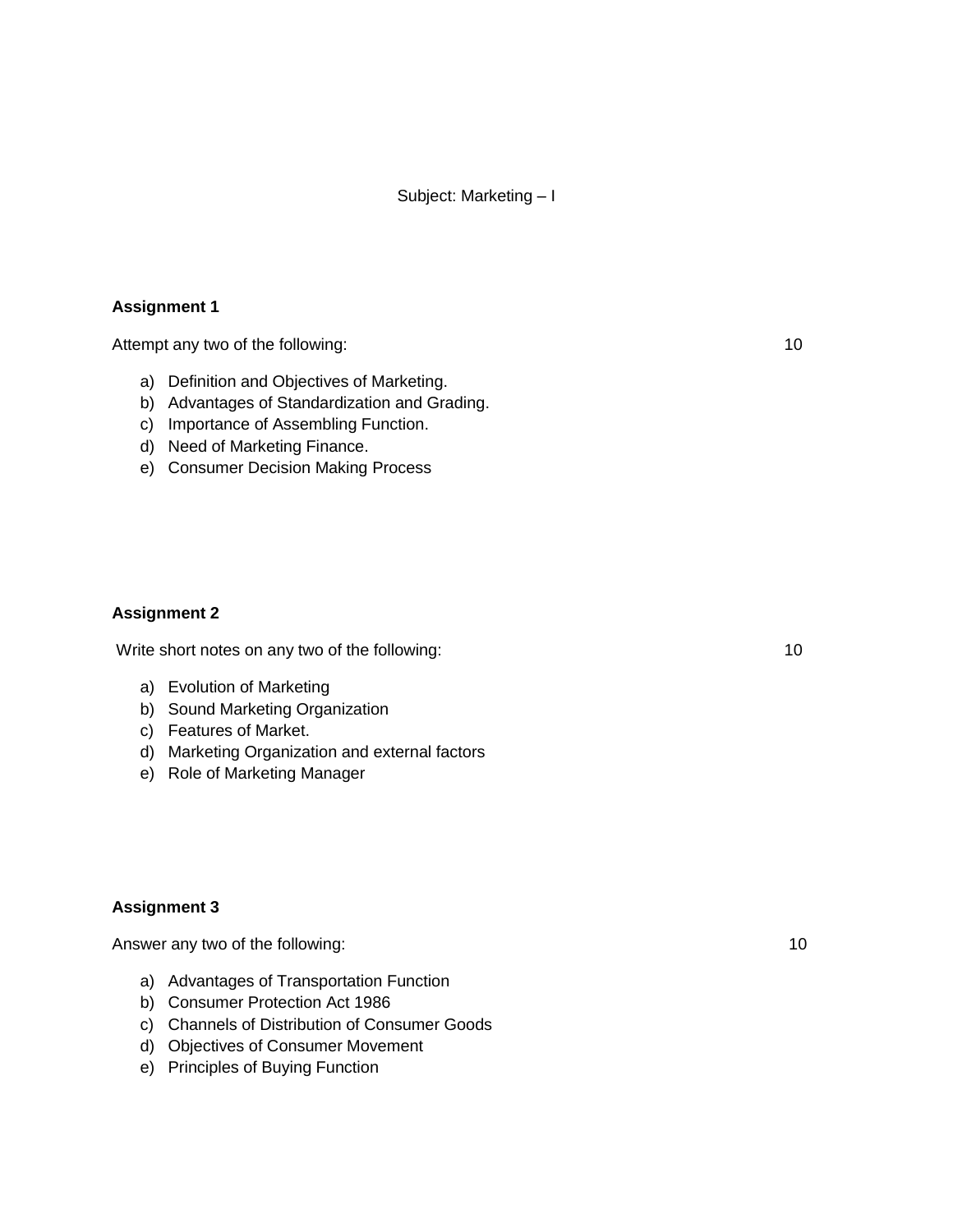#### **Assignment 1**

Attempt any two of the following: 10

- a) Definition and Objectives of Marketing.
- b) Advantages of Standardization and Grading.
- c) Importance of Assembling Function.
- d) Need of Marketing Finance.
- e) Consumer Decision Making Process

#### **Assignment 2**

Write short notes on any two of the following: 10

- a) Evolution of Marketing
- b) Sound Marketing Organization
- c) Features of Market.
- d) Marketing Organization and external factors
- e) Role of Marketing Manager

#### **Assignment 3**

Answer any two of the following: 10

- a) Advantages of Transportation Function
- b) Consumer Protection Act 1986
- c) Channels of Distribution of Consumer Goods
- d) Objectives of Consumer Movement
- e) Principles of Buying Function